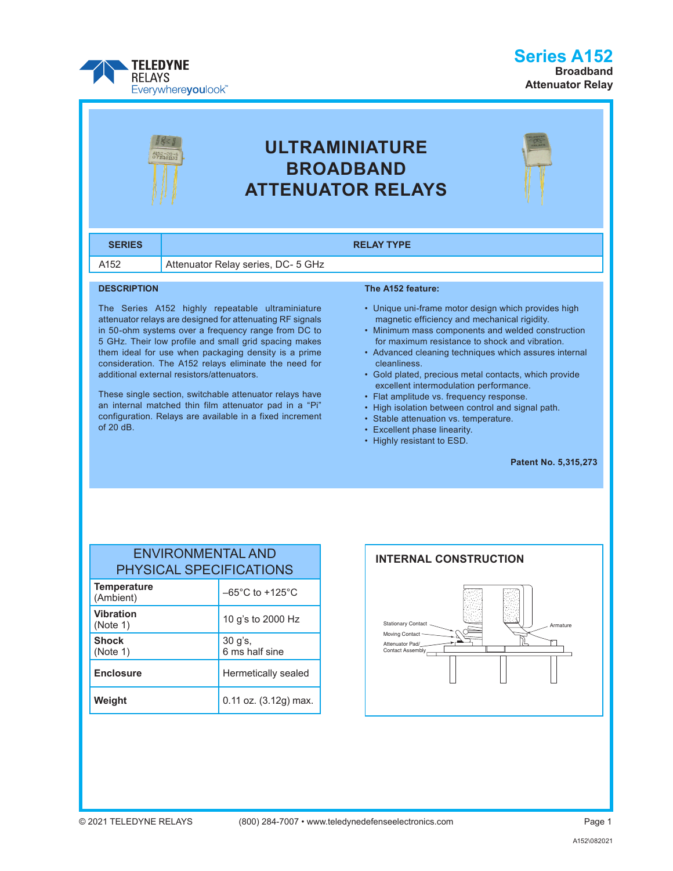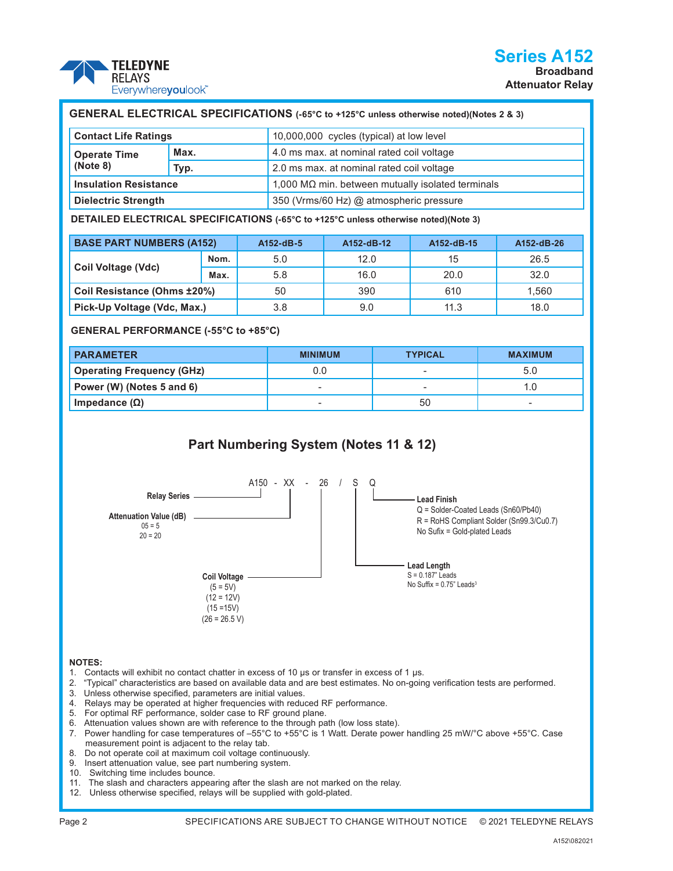

| GENERAL ELECTRICAL SPECIFICATIONS (-65°C to +125°C unless otherwise noted)(Notes 2 & 3) |      |                                                             |  |  |
|-----------------------------------------------------------------------------------------|------|-------------------------------------------------------------|--|--|
| <b>Contact Life Ratings</b>                                                             |      | 10,000,000 cycles (typical) at low level                    |  |  |
| <b>Operate Time</b><br>(Note 8)                                                         | Max. | 4.0 ms max. at nominal rated coil voltage                   |  |  |
|                                                                                         | Typ. | 2.0 ms max. at nominal rated coil voltage                   |  |  |
| <b>Insulation Resistance</b>                                                            |      | $1,000$ M $\Omega$ min. between mutually isolated terminals |  |  |

**Dielectric Strength** 350 (Vrms/60 Hz) @ atmospheric pressure

**DETAILED ELECTRICAL SPECIFICATIONS (-65°C to +125°C unless otherwise noted)(Note 3)**

| <b>BASE PART NUMBERS (A152)</b> |      | A152-dB-5 | A152-dB-12 | A152-dB-15 | A152-dB-26 |
|---------------------------------|------|-----------|------------|------------|------------|
|                                 | Nom. | 5.0       | 12.0       | 15         | 26.5       |
| Coil Voltage (Vdc)              | Max. | 5.8       | 16.0       | 20.0       | 32.0       |
| Coil Resistance (Ohms ±20%)     |      | 50        | 390        | 610        | 1.560      |
| Pick-Up Voltage (Vdc, Max.)     |      | 3.8       | 9.0        | 11.3       | 18.0       |

#### **GENERAL PERFORMANCE (-55°C to +85°C)**

| <b>PARAMETER</b>                 | <b>MINIMUM</b>           | <b>TYPICAL</b> | <b>MAXIMUM</b> |
|----------------------------------|--------------------------|----------------|----------------|
| <b>Operating Frequency (GHz)</b> | 0.0                      |                | 5.0            |
| Power (W) (Notes 5 and 6)        | $\overline{\phantom{a}}$ |                |                |
| Impedance (Ω)                    | $\overline{\phantom{0}}$ | 50             |                |

# **Part Numbering System (Notes 11 & 12)**



#### **NOTES:**

- 1. Contacts will exhibit no contact chatter in excess of 10 μs or transfer in excess of 1 μs.
- 2. "Typical" characteristics are based on available data and are best estimates. No on-going verification tests are performed.
- 3. Unless otherwise specified, parameters are initial values.
- 4. Relays may be operated at higher frequencies with reduced RF performance.
- 5. For optimal RF performance, solder case to RF ground plane.
- 6. Attenuation values shown are with reference to the through path (low loss state).
- 7. Power handling for case temperatures of –55°C to +55°C is 1 Watt. Derate power handling 25 mW/°C above +55°C. Case measurement point is adjacent to the relay tab.
- 8. Do not operate coil at maximum coil voltage continuously.
- 9. Insert attenuation value, see part numbering system.
- 10. Switching time includes bounce.
- 11. The slash and characters appearing after the slash are not marked on the relay.
- 12. Unless otherwise specified, relays will be supplied with gold-plated.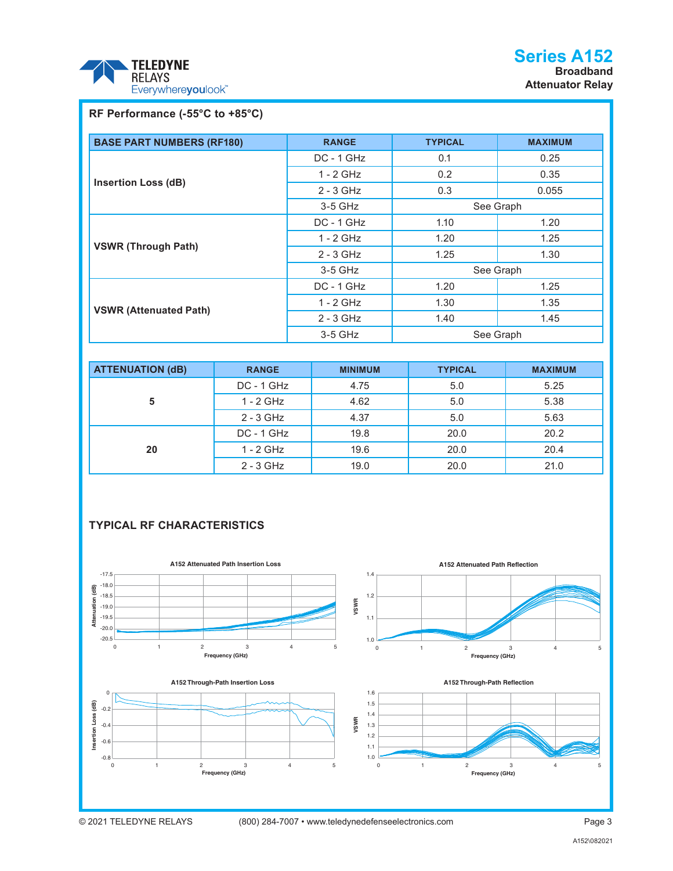

## **RF Performance (-55°C to +85°C)**

| <b>BASE PART NUMBERS (RF180)</b> | <b>RANGE</b> | <b>TYPICAL</b> | <b>MAXIMUM</b> |
|----------------------------------|--------------|----------------|----------------|
|                                  | DC - 1 GHz   | 0.1            | 0.25           |
|                                  | $1 - 2$ GHz  | $0.2^{\circ}$  | 0.35           |
| <b>Insertion Loss (dB)</b>       | $2 - 3$ GHz  | 0.3            | 0.055          |
|                                  | 3-5 GHz      | See Graph      |                |
|                                  | DC - 1 GHz   | 1.10           | 1.20           |
|                                  | $1 - 2$ GHz  | 1.20           | 1.25           |
| <b>VSWR (Through Path)</b>       | $2 - 3$ GHz  | 1.25           | 1.30           |
|                                  | 3-5 GHz      | See Graph      |                |
| <b>VSWR (Attenuated Path)</b>    | $DC - 1$ GHz | 1.20           | 1.25           |
|                                  | $1 - 2$ GHz  | 1.30           | 1.35           |
|                                  | $2 - 3$ GHz  | 1.40           | 1.45           |
|                                  | 3-5 GHz      | See Graph      |                |

| <b>ATTENUATION (dB)</b> | <b>RANGE</b> | <b>MINIMUM</b> | <b>TYPICAL</b> | <b>MAXIMUM</b> |
|-------------------------|--------------|----------------|----------------|----------------|
| 5                       | $DC - 1$ GHz | 4.75           | 5.0            | 5.25           |
|                         | $1 - 2$ GHz  | 4.62           | 5.0            | 5.38           |
|                         | $2 - 3$ GHz  | 4.37           | 5.0            | 5.63           |
|                         | $DC - 1$ GHz | 19.8           | 20.0           | 20.2           |
| 20                      | $1 - 2$ GHz  | 19.6           | 20.0           | 20.4           |
|                         | $2 - 3$ GHz  | 19.0           | 20.0           | 21.0           |

### **TYPICAL RF CHARACTERISTICS**

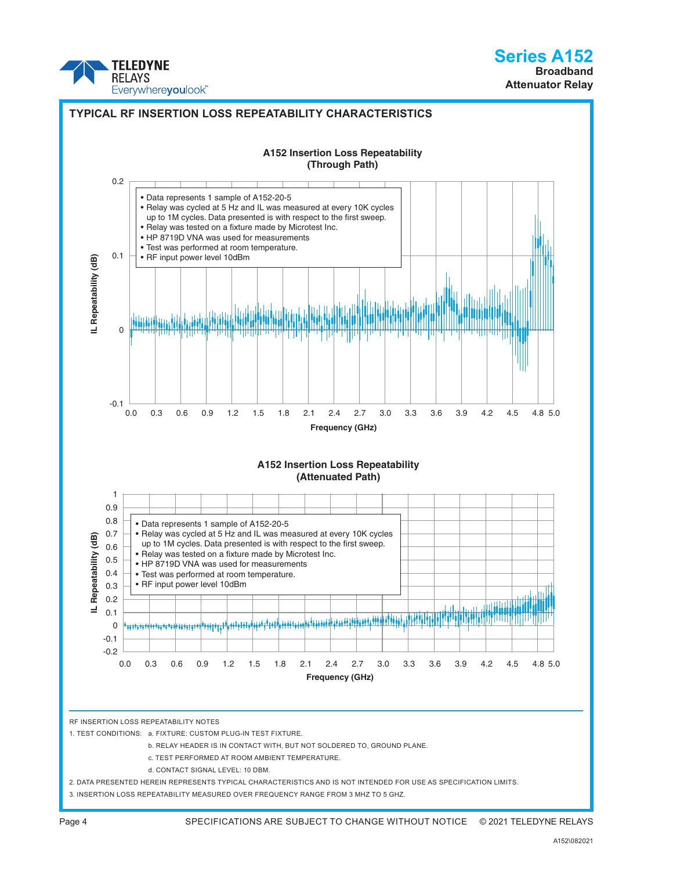